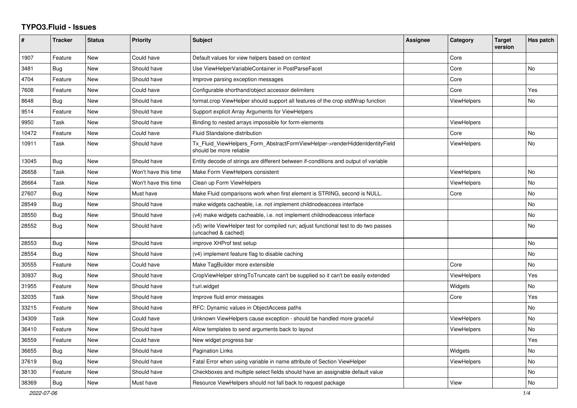## **TYPO3.Fluid - Issues**

| #     | Tracker    | <b>Status</b> | <b>Priority</b>      | <b>Subject</b>                                                                                              | <b>Assignee</b> | Category           | <b>Target</b><br>version | Has patch |
|-------|------------|---------------|----------------------|-------------------------------------------------------------------------------------------------------------|-----------------|--------------------|--------------------------|-----------|
| 1907  | Feature    | New           | Could have           | Default values for view helpers based on context                                                            |                 | Core               |                          |           |
| 3481  | Bug        | <b>New</b>    | Should have          | Use ViewHelperVariableContainer in PostParseFacet                                                           |                 | Core               |                          | <b>No</b> |
| 4704  | Feature    | New           | Should have          | Improve parsing exception messages                                                                          |                 | Core               |                          |           |
| 7608  | Feature    | New           | Could have           | Configurable shorthand/object accessor delimiters                                                           |                 | Core               |                          | Yes       |
| 8648  | <b>Bug</b> | New           | Should have          | format.crop ViewHelper should support all features of the crop stdWrap function                             |                 | <b>ViewHelpers</b> |                          | No        |
| 9514  | Feature    | New           | Should have          | Support explicit Array Arguments for ViewHelpers                                                            |                 |                    |                          |           |
| 9950  | Task       | <b>New</b>    | Should have          | Binding to nested arrays impossible for form-elements                                                       |                 | <b>ViewHelpers</b> |                          |           |
| 10472 | Feature    | New           | Could have           | Fluid Standalone distribution                                                                               |                 | Core               |                          | No        |
| 10911 | Task       | New           | Should have          | Tx_Fluid_ViewHelpers_Form_AbstractFormViewHelper->renderHiddenIdentityField<br>should be more reliable      |                 | <b>ViewHelpers</b> |                          | <b>No</b> |
| 13045 | Bug        | New           | Should have          | Entity decode of strings are different between if-conditions and output of variable                         |                 |                    |                          |           |
| 26658 | Task       | New           | Won't have this time | Make Form ViewHelpers consistent                                                                            |                 | <b>ViewHelpers</b> |                          | No        |
| 26664 | Task       | <b>New</b>    | Won't have this time | Clean up Form ViewHelpers                                                                                   |                 | ViewHelpers        |                          | <b>No</b> |
| 27607 | Bug        | New           | Must have            | Make Fluid comparisons work when first element is STRING, second is NULL.                                   |                 | Core               |                          | No        |
| 28549 | Bug        | New           | Should have          | make widgets cacheable, i.e. not implement childnodeaccess interface                                        |                 |                    |                          | No        |
| 28550 | Bug        | New           | Should have          | (v4) make widgets cacheable, i.e. not implement childnodeaccess interface                                   |                 |                    |                          | No        |
| 28552 | Bug        | New           | Should have          | (v5) write ViewHelper test for compiled run; adjust functional test to do two passes<br>(uncached & cached) |                 |                    |                          | No        |
| 28553 | Bug        | New           | Should have          | improve XHProf test setup                                                                                   |                 |                    |                          | No        |
| 28554 | Bug        | New           | Should have          | (v4) implement feature flag to disable caching                                                              |                 |                    |                          | No        |
| 30555 | Feature    | <b>New</b>    | Could have           | Make TagBuilder more extensible                                                                             |                 | Core               |                          | <b>No</b> |
| 30937 | Bug        | New           | Should have          | CropViewHelper stringToTruncate can't be supplied so it can't be easily extended                            |                 | <b>ViewHelpers</b> |                          | Yes       |
| 31955 | Feature    | <b>New</b>    | Should have          | f:uri.widget                                                                                                |                 | Widgets            |                          | No        |
| 32035 | Task       | New           | Should have          | Improve fluid error messages                                                                                |                 | Core               |                          | Yes       |
| 33215 | Feature    | New           | Should have          | RFC: Dynamic values in ObjectAccess paths                                                                   |                 |                    |                          | <b>No</b> |
| 34309 | Task       | New           | Could have           | Unknown ViewHelpers cause exception - should be handled more graceful                                       |                 | <b>ViewHelpers</b> |                          | <b>No</b> |
| 36410 | Feature    | New           | Should have          | Allow templates to send arguments back to layout                                                            |                 | ViewHelpers        |                          | No        |
| 36559 | Feature    | New           | Could have           | New widget progress bar                                                                                     |                 |                    |                          | Yes       |
| 36655 | <b>Bug</b> | New           | Should have          | <b>Pagination Links</b>                                                                                     |                 | Widgets            |                          | No        |
| 37619 | Bug        | New           | Should have          | Fatal Error when using variable in name attribute of Section ViewHelper                                     |                 | ViewHelpers        |                          | No        |
| 38130 | Feature    | <b>New</b>    | Should have          | Checkboxes and multiple select fields should have an assignable default value                               |                 |                    |                          | No        |
| 38369 | Bug        | New           | Must have            | Resource ViewHelpers should not fall back to request package                                                |                 | View               |                          | No        |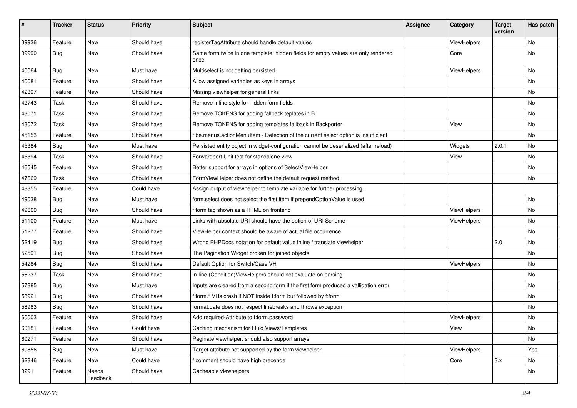| #     | <b>Tracker</b> | <b>Status</b>     | <b>Priority</b> | Subject                                                                                   | Assignee | <b>Category</b> | <b>Target</b><br>version | Has patch |
|-------|----------------|-------------------|-----------------|-------------------------------------------------------------------------------------------|----------|-----------------|--------------------------|-----------|
| 39936 | Feature        | <b>New</b>        | Should have     | registerTagAttribute should handle default values                                         |          | ViewHelpers     |                          | <b>No</b> |
| 39990 | <b>Bug</b>     | New               | Should have     | Same form twice in one template: hidden fields for empty values are only rendered<br>once |          | Core            |                          | No        |
| 40064 | Bug            | <b>New</b>        | Must have       | Multiselect is not getting persisted                                                      |          | ViewHelpers     |                          | <b>No</b> |
| 40081 | Feature        | New               | Should have     | Allow assigned variables as keys in arrays                                                |          |                 |                          | No        |
| 42397 | Feature        | New               | Should have     | Missing viewhelper for general links                                                      |          |                 |                          | <b>No</b> |
| 42743 | Task           | New               | Should have     | Remove inline style for hidden form fields                                                |          |                 |                          | No        |
| 43071 | Task           | New               | Should have     | Remove TOKENS for adding fallback teplates in B                                           |          |                 |                          | No        |
| 43072 | Task           | <b>New</b>        | Should have     | Remove TOKENS for adding templates fallback in Backporter                                 |          | View            |                          | No        |
| 45153 | Feature        | New               | Should have     | f:be.menus.actionMenuItem - Detection of the current select option is insufficient        |          |                 |                          | No        |
| 45384 | Bug            | New               | Must have       | Persisted entity object in widget-configuration cannot be deserialized (after reload)     |          | Widgets         | 2.0.1                    | No        |
| 45394 | Task           | New               | Should have     | Forwardport Unit test for standalone view                                                 |          | View            |                          | No        |
| 46545 | Feature        | New               | Should have     | Better support for arrays in options of SelectViewHelper                                  |          |                 |                          | No        |
| 47669 | Task           | New               | Should have     | FormViewHelper does not define the default request method                                 |          |                 |                          | No        |
| 48355 | Feature        | New               | Could have      | Assign output of viewhelper to template variable for further processing.                  |          |                 |                          |           |
| 49038 | Bug            | New               | Must have       | form.select does not select the first item if prependOptionValue is used                  |          |                 |                          | No        |
| 49600 | Bug            | New               | Should have     | f:form tag shown as a HTML on frontend                                                    |          | ViewHelpers     |                          | No        |
| 51100 | Feature        | New               | Must have       | Links with absolute URI should have the option of URI Scheme                              |          | ViewHelpers     |                          | No        |
| 51277 | Feature        | New               | Should have     | ViewHelper context should be aware of actual file occurrence                              |          |                 |                          | <b>No</b> |
| 52419 | <b>Bug</b>     | New               | Should have     | Wrong PHPDocs notation for default value inline f:translate viewhelper                    |          |                 | 2.0                      | No        |
| 52591 | Bug            | New               | Should have     | The Pagination Widget broken for joined objects                                           |          |                 |                          | No        |
| 54284 | Bug            | <b>New</b>        | Should have     | Default Option for Switch/Case VH                                                         |          | ViewHelpers     |                          | <b>No</b> |
| 56237 | Task           | New               | Should have     | in-line (Condition) View Helpers should not evaluate on parsing                           |          |                 |                          | No        |
| 57885 | Bug            | New               | Must have       | Inputs are cleared from a second form if the first form produced a vallidation error      |          |                 |                          | <b>No</b> |
| 58921 | Bug            | New               | Should have     | f:form.* VHs crash if NOT inside f:form but followed by f:form                            |          |                 |                          | No        |
| 58983 | Bug            | New               | Should have     | format.date does not respect linebreaks and throws exception                              |          |                 |                          | No        |
| 60003 | Feature        | <b>New</b>        | Should have     | Add required-Attribute to f:form.password                                                 |          | ViewHelpers     |                          | No        |
| 60181 | Feature        | New               | Could have      | Caching mechanism for Fluid Views/Templates                                               |          | View            |                          | No        |
| 60271 | Feature        | New               | Should have     | Paginate viewhelper, should also support arrays                                           |          |                 |                          | No        |
| 60856 | Bug            | New               | Must have       | Target attribute not supported by the form viewhelper                                     |          | ViewHelpers     |                          | Yes       |
| 62346 | Feature        | New               | Could have      | f:comment should have high precende                                                       |          | Core            | 3.x                      | No        |
| 3291  | Feature        | Needs<br>Feedback | Should have     | Cacheable viewhelpers                                                                     |          |                 |                          | No        |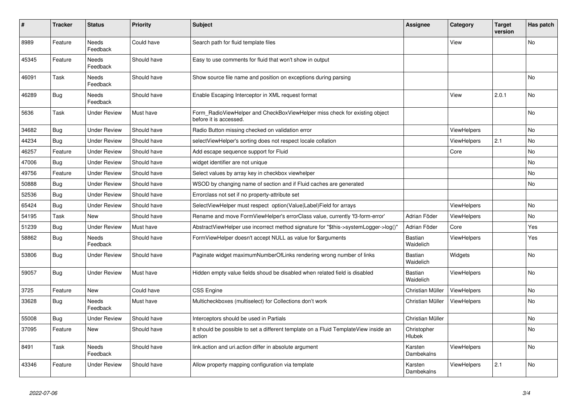| #     | <b>Tracker</b> | <b>Status</b>            | <b>Priority</b> | <b>Subject</b>                                                                                       | <b>Assignee</b>       | Category           | <b>Target</b><br>version | Has patch      |
|-------|----------------|--------------------------|-----------------|------------------------------------------------------------------------------------------------------|-----------------------|--------------------|--------------------------|----------------|
| 8989  | Feature        | <b>Needs</b><br>Feedback | Could have      | Search path for fluid template files                                                                 |                       | View               |                          | <b>No</b>      |
| 45345 | Feature        | Needs<br>Feedback        | Should have     | Easy to use comments for fluid that won't show in output                                             |                       |                    |                          |                |
| 46091 | Task           | Needs<br>Feedback        | Should have     | Show source file name and position on exceptions during parsing                                      |                       |                    |                          | No             |
| 46289 | Bug            | Needs<br>Feedback        | Should have     | Enable Escaping Interceptor in XML request format                                                    |                       | View               | 2.0.1                    | No             |
| 5636  | Task           | <b>Under Review</b>      | Must have       | Form RadioViewHelper and CheckBoxViewHelper miss check for existing object<br>before it is accessed. |                       |                    |                          | <b>No</b>      |
| 34682 | Bug            | <b>Under Review</b>      | Should have     | Radio Button missing checked on validation error                                                     |                       | <b>ViewHelpers</b> |                          | <b>No</b>      |
| 44234 | <b>Bug</b>     | <b>Under Review</b>      | Should have     | selectViewHelper's sorting does not respect locale collation                                         |                       | <b>ViewHelpers</b> | 2.1                      | <b>No</b>      |
| 46257 | Feature        | <b>Under Review</b>      | Should have     | Add escape sequence support for Fluid                                                                |                       | Core               |                          | No             |
| 47006 | Bug            | <b>Under Review</b>      | Should have     | widget identifier are not unique                                                                     |                       |                    |                          | <b>No</b>      |
| 49756 | Feature        | <b>Under Review</b>      | Should have     | Select values by array key in checkbox viewhelper                                                    |                       |                    |                          | <b>No</b>      |
| 50888 | Bug            | <b>Under Review</b>      | Should have     | WSOD by changing name of section and if Fluid caches are generated                                   |                       |                    |                          | <b>No</b>      |
| 52536 | Bug            | <b>Under Review</b>      | Should have     | Errorclass not set if no property-attribute set                                                      |                       |                    |                          |                |
| 65424 | Bug            | <b>Under Review</b>      | Should have     | SelectViewHelper must respect option(Value Label)Field for arrays                                    |                       | <b>ViewHelpers</b> |                          | N <sub>o</sub> |
| 54195 | Task           | <b>New</b>               | Should have     | Rename and move FormViewHelper's errorClass value, currently 'f3-form-error'                         | Adrian Föder          | <b>ViewHelpers</b> |                          | <b>No</b>      |
| 51239 | Bug            | <b>Under Review</b>      | Must have       | AbstractViewHelper use incorrect method signature for "\$this->systemLogger->log()"                  | Adrian Föder          | Core               |                          | Yes            |
| 58862 | <b>Bug</b>     | Needs<br>Feedback        | Should have     | FormViewHelper doesn't accept NULL as value for \$arguments                                          | Bastian<br>Waidelich  | <b>ViewHelpers</b> |                          | Yes            |
| 53806 | Bug            | <b>Under Review</b>      | Should have     | Paginate widget maximumNumberOfLinks rendering wrong number of links                                 | Bastian<br>Waidelich  | Widgets            |                          | <b>No</b>      |
| 59057 | <b>Bug</b>     | <b>Under Review</b>      | Must have       | Hidden empty value fields shoud be disabled when related field is disabled                           | Bastian<br>Waidelich  | <b>ViewHelpers</b> |                          | <b>No</b>      |
| 3725  | Feature        | New                      | Could have      | <b>CSS Engine</b>                                                                                    | Christian Müller      | <b>ViewHelpers</b> |                          | No             |
| 33628 | Bug            | Needs<br>Feedback        | Must have       | Multicheckboxes (multiselect) for Collections don't work                                             | Christian Müller      | <b>ViewHelpers</b> |                          | No             |
| 55008 | <b>Bug</b>     | <b>Under Review</b>      | Should have     | Interceptors should be used in Partials                                                              | Christian Müller      |                    |                          | No             |
| 37095 | Feature        | New                      | Should have     | It should be possible to set a different template on a Fluid TemplateView inside an<br>action        | Christopher<br>Hlubek |                    |                          | No.            |
| 8491  | Task           | Needs<br>Feedback        | Should have     | link.action and uri.action differ in absolute argument                                               | Karsten<br>Dambekalns | <b>ViewHelpers</b> |                          | <b>No</b>      |
| 43346 | Feature        | <b>Under Review</b>      | Should have     | Allow property mapping configuration via template                                                    | Karsten<br>Dambekalns | <b>ViewHelpers</b> | 2.1                      | <b>No</b>      |